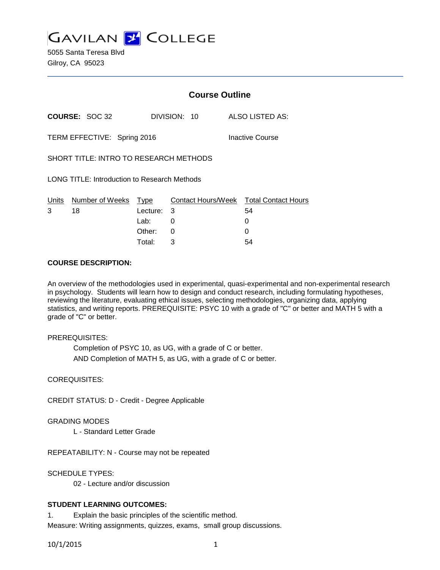**GAVILAN Z COLLEGE** 

5055 Santa Teresa Blvd Gilroy, CA 95023

|                                                |                       | <b>Course Outline</b> |              |  |                                              |
|------------------------------------------------|-----------------------|-----------------------|--------------|--|----------------------------------------------|
|                                                | <b>COURSE: SOC 32</b> |                       | DIVISION: 10 |  | ALSO LISTED AS:                              |
| TERM EFFECTIVE: Spring 2016<br>Inactive Course |                       |                       |              |  |                                              |
| SHORT TITLE: INTRO TO RESEARCH METHODS         |                       |                       |              |  |                                              |
| LONG TITLE: Introduction to Research Methods   |                       |                       |              |  |                                              |
| Units<br>3                                     | Number of Weeks<br>18 | Type<br>Lecture:      | 3            |  | Contact Hours/Week Total Contact Hours<br>54 |
|                                                |                       | Lab:                  | 0            |  | 0                                            |
|                                                |                       | Other:                | 0            |  |                                              |

Total: 3 54

#### **COURSE DESCRIPTION:**

An overview of the methodologies used in experimental, quasi-experimental and non-experimental research in psychology. Students will learn how to design and conduct research, including formulating hypotheses, reviewing the literature, evaluating ethical issues, selecting methodologies, organizing data, applying statistics, and writing reports. PREREQUISITE: PSYC 10 with a grade of "C" or better and MATH 5 with a grade of "C" or better.

#### PREREQUISITES:

Completion of PSYC 10, as UG, with a grade of C or better. AND Completion of MATH 5, as UG, with a grade of C or better.

#### COREQUISITES:

CREDIT STATUS: D - Credit - Degree Applicable

#### GRADING MODES

L - Standard Letter Grade

REPEATABILITY: N - Course may not be repeated

SCHEDULE TYPES:

02 - Lecture and/or discussion

### **STUDENT LEARNING OUTCOMES:**

1. Explain the basic principles of the scientific method. Measure: Writing assignments, quizzes, exams, small group discussions.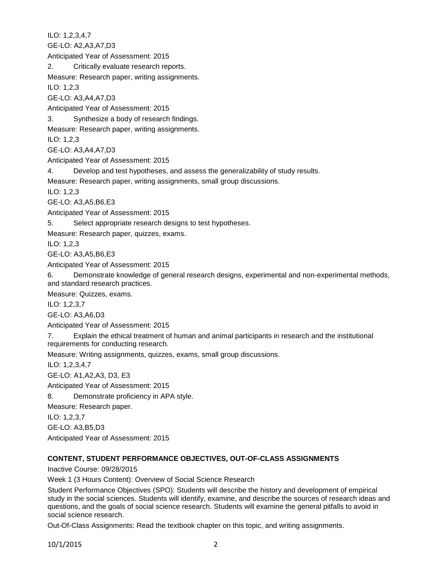ILO: 1,2,3,4,7 GE-LO: A2,A3,A7,D3 Anticipated Year of Assessment: 2015 2. Critically evaluate research reports. Measure: Research paper, writing assignments. ILO: 1,2,3 GE-LO: A3,A4,A7,D3 Anticipated Year of Assessment: 2015 3. Synthesize a body of research findings. Measure: Research paper, writing assignments. ILO: 1,2,3 GE-LO: A3,A4,A7,D3 Anticipated Year of Assessment: 2015 4. Develop and test hypotheses, and assess the generalizability of study results. Measure: Research paper, writing assignments, small group discussions. ILO: 1,2,3 GE-LO: A3,A5,B6,E3 Anticipated Year of Assessment: 2015 5. Select appropriate research designs to test hypotheses. Measure: Research paper, quizzes, exams. ILO: 1,2,3 GE-LO: A3,A5,B6,E3 Anticipated Year of Assessment: 2015 6. Demonstrate knowledge of general research designs, experimental and non-experimental methods, and standard research practices. Measure: Quizzes, exams. ILO: 1,2,3,7 GE-LO: A3,A6,D3 Anticipated Year of Assessment: 2015 7. Explain the ethical treatment of human and animal participants in research and the institutional requirements for conducting research. Measure: Writing assignments, quizzes, exams, small group discussions. ILO: 1,2,3,4,7 GE-LO: A1,A2,A3, D3, E3 Anticipated Year of Assessment: 2015 8. Demonstrate proficiency in APA style. Measure: Research paper. ILO: 1,2,3,7 GE-LO: A3,B5,D3

Anticipated Year of Assessment: 2015

# **CONTENT, STUDENT PERFORMANCE OBJECTIVES, OUT-OF-CLASS ASSIGNMENTS**

Inactive Course: 09/28/2015

Week 1 (3 Hours Content): Overview of Social Science Research

Student Performance Objectives (SPO): Students will describe the history and development of empirical study in the social sciences. Students will identify, examine, and describe the sources of research ideas and questions, and the goals of social science research. Students will examine the general pitfalls to avoid in social science research.

Out-Of-Class Assignments: Read the textbook chapter on this topic, and writing assignments.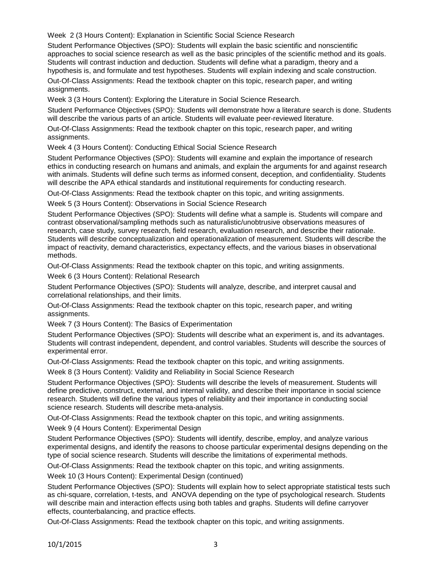Week 2 (3 Hours Content): Explanation in Scientific Social Science Research

Student Performance Objectives (SPO): Students will explain the basic scientific and nonscientific approaches to social science research as well as the basic principles of the scientific method and its goals. Students will contrast induction and deduction. Students will define what a paradigm, theory and a hypothesis is, and formulate and test hypotheses. Students will explain indexing and scale construction.

Out-Of-Class Assignments: Read the textbook chapter on this topic, research paper, and writing assignments.

Week 3 (3 Hours Content): Exploring the Literature in Social Science Research.

Student Performance Objectives (SPO): Students will demonstrate how a literature search is done. Students will describe the various parts of an article. Students will evaluate peer-reviewed literature.

Out-Of-Class Assignments: Read the textbook chapter on this topic, research paper, and writing assignments.

Week 4 (3 Hours Content): Conducting Ethical Social Science Research

Student Performance Objectives (SPO): Students will examine and explain the importance of research ethics in conducting research on humans and animals, and explain the arguments for and against research with animals. Students will define such terms as informed consent, deception, and confidentiality. Students will describe the APA ethical standards and institutional requirements for conducting research.

Out-Of-Class Assignments: Read the textbook chapter on this topic, and writing assignments.

Week 5 (3 Hours Content): Observations in Social Science Research

Student Performance Objectives (SPO): Students will define what a sample is. Students will compare and contrast observational/sampling methods such as naturalistic/unobtrusive observations measures of research, case study, survey research, field research, evaluation research, and describe their rationale. Students will describe conceptualization and operationalization of measurement. Students will describe the impact of reactivity, demand characteristics, expectancy effects, and the various biases in observational methods.

Out-Of-Class Assignments: Read the textbook chapter on this topic, and writing assignments.

Week 6 (3 Hours Content): Relational Research

Student Performance Objectives (SPO): Students will analyze, describe, and interpret causal and correlational relationships, and their limits.

Out-Of-Class Assignments: Read the textbook chapter on this topic, research paper, and writing assignments.

Week 7 (3 Hours Content): The Basics of Experimentation

Student Performance Objectives (SPO): Students will describe what an experiment is, and its advantages. Students will contrast independent, dependent, and control variables. Students will describe the sources of experimental error.

Out-Of-Class Assignments: Read the textbook chapter on this topic, and writing assignments.

Week 8 (3 Hours Content): Validity and Reliability in Social Science Research

Student Performance Objectives (SPO): Students will describe the levels of measurement. Students will define predictive, construct, external, and internal validity, and describe their importance in social science research. Students will define the various types of reliability and their importance in conducting social science research. Students will describe meta-analysis.

Out-Of-Class Assignments: Read the textbook chapter on this topic, and writing assignments.

Week 9 (4 Hours Content): Experimental Design

Student Performance Objectives (SPO): Students will identify, describe, employ, and analyze various experimental designs, and identify the reasons to choose particular experimental designs depending on the type of social science research. Students will describe the limitations of experimental methods.

Out-Of-Class Assignments: Read the textbook chapter on this topic, and writing assignments.

Week 10 (3 Hours Content): Experimental Design (continued)

Student Performance Objectives (SPO): Students will explain how to select appropriate statistical tests such as chi-square, correlation, t-tests, and ANOVA depending on the type of psychological research. Students will describe main and interaction effects using both tables and graphs. Students will define carryover effects, counterbalancing, and practice effects.

Out-Of-Class Assignments: Read the textbook chapter on this topic, and writing assignments.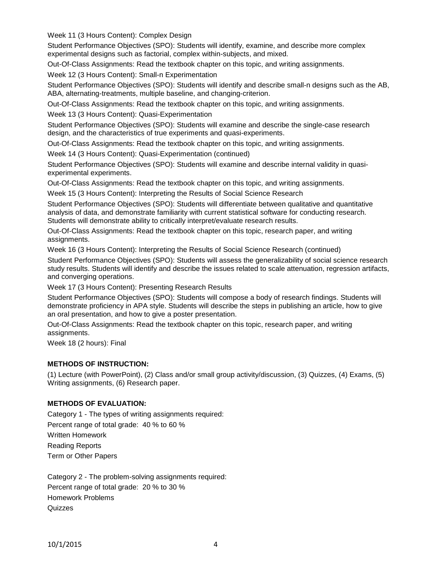Week 11 (3 Hours Content): Complex Design

Student Performance Objectives (SPO): Students will identify, examine, and describe more complex experimental designs such as factorial, complex within-subjects, and mixed.

Out-Of-Class Assignments: Read the textbook chapter on this topic, and writing assignments.

Week 12 (3 Hours Content): Small-n Experimentation

Student Performance Objectives (SPO): Students will identify and describe small-n designs such as the AB, ABA, alternating-treatments, multiple baseline, and changing-criterion.

Out-Of-Class Assignments: Read the textbook chapter on this topic, and writing assignments.

Week 13 (3 Hours Content): Quasi-Experimentation

Student Performance Objectives (SPO): Students will examine and describe the single-case research design, and the characteristics of true experiments and quasi-experiments.

Out-Of-Class Assignments: Read the textbook chapter on this topic, and writing assignments.

Week 14 (3 Hours Content): Quasi-Experimentation (continued)

Student Performance Objectives (SPO): Students will examine and describe internal validity in quasiexperimental experiments.

Out-Of-Class Assignments: Read the textbook chapter on this topic, and writing assignments.

Week 15 (3 Hours Content): Interpreting the Results of Social Science Research

Student Performance Objectives (SPO): Students will differentiate between qualitative and quantitative analysis of data, and demonstrate familiarity with current statistical software for conducting research. Students will demonstrate ability to critically interpret/evaluate research results.

Out-Of-Class Assignments: Read the textbook chapter on this topic, research paper, and writing assignments.

Week 16 (3 Hours Content): Interpreting the Results of Social Science Research (continued)

Student Performance Objectives (SPO): Students will assess the generalizability of social science research study results. Students will identify and describe the issues related to scale attenuation, regression artifacts, and converging operations.

Week 17 (3 Hours Content): Presenting Research Results

Student Performance Objectives (SPO): Students will compose a body of research findings. Students will demonstrate proficiency in APA style. Students will describe the steps in publishing an article, how to give an oral presentation, and how to give a poster presentation.

Out-Of-Class Assignments: Read the textbook chapter on this topic, research paper, and writing assignments.

Week 18 (2 hours): Final

### **METHODS OF INSTRUCTION:**

(1) Lecture (with PowerPoint), (2) Class and/or small group activity/discussion, (3) Quizzes, (4) Exams, (5) Writing assignments, (6) Research paper.

## **METHODS OF EVALUATION:**

Category 1 - The types of writing assignments required: Percent range of total grade: 40 % to 60 % Written Homework Reading Reports Term or Other Papers

Category 2 - The problem-solving assignments required: Percent range of total grade: 20 % to 30 % Homework Problems **Quizzes**